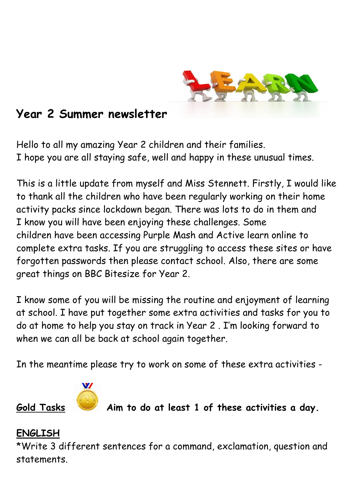

# **Year 2 Summer newsletter**

Hello to all my amazing Year 2 children and their families. I hope you are all staying safe, well and happy in these unusual times.

This is a little update from myself and Miss Stennett. Firstly, I would like to thank all the children who have been regularly working on their home activity packs since lockdown began. There was lots to do in them and I know you will have been enjoying these challenges. Some children have been accessing Purple Mash and Active learn online to complete extra tasks. If you are struggling to access these sites or have forgotten passwords then please contact school. Also, there are some great things on BBC Bitesize for Year 2.

I know some of you will be missing the routine and enjoyment of learning at school. I have put together some extra activities and tasks for you to do at home to help you stay on track in Year 2 . I'm looking forward to when we can all be back at school again together.

In the meantime please try to work on some of these extra activities -



**Gold Tasks Aim to do at least 1 of these activities a day.**

### **ENGLISH**

\*Write 3 different sentences for a command, exclamation, question and statements.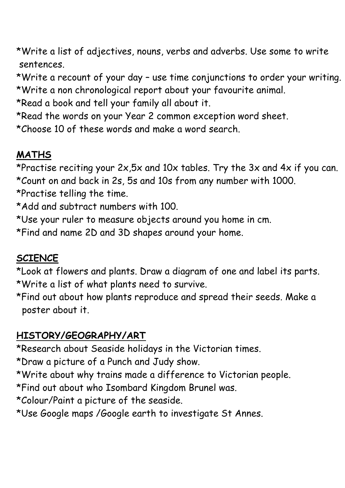\*Write a list of adjectives, nouns, verbs and adverbs. Use some to write sentences.

\*Write a recount of your day – use time conjunctions to order your writing. \*Write a non chronological report about your favourite animal.

\*Read a book and tell your family all about it.

\*Read the words on your Year 2 common exception word sheet.

\*Choose 10 of these words and make a word search.

## **MATHS**

\*Practise reciting your 2x,5x and 10x tables. Try the 3x and 4x if you can. \*Count on and back in 2s, 5s and 10s from any number with 1000.

\*Practise telling the time.

\*Add and subtract numbers with 100.

\*Use your ruler to measure objects around you home in cm.

\*Find and name 2D and 3D shapes around your home.

## **SCIENCE**

\*Look at flowers and plants. Draw a diagram of one and label its parts. \*Write a list of what plants need to survive.

\*Find out about how plants reproduce and spread their seeds. Make a poster about it.

## **HISTORY/GEOGRAPHY/ART**

\*Research about Seaside holidays in the Victorian times.

\*Draw a picture of a Punch and Judy show.

\*Write about why trains made a difference to Victorian people.

\*Find out about who Isombard Kingdom Brunel was.

\*Colour/Paint a picture of the seaside.

\*Use Google maps /Google earth to investigate St Annes.